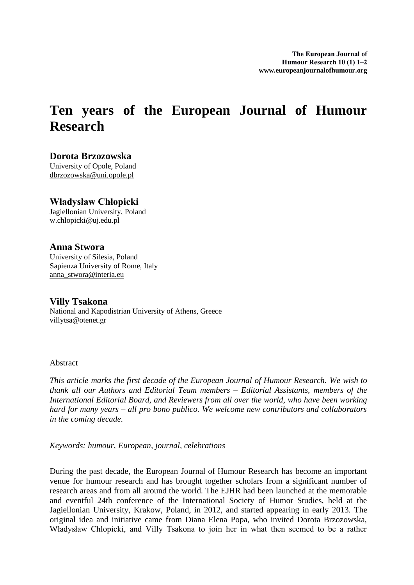## **Ten years of the European Journal of Humour Research**

**Dorota Brzozowska** University of Opole, Poland dbrzozowska@uni.opole.pl

## **Władysław Chłopicki**

Jagiellonian University, Poland w.chlopicki@uj.edu.pl

## **Anna Stwora**

villytsa@otenet.gr

University of Silesia, Poland Sapienza University of Rome, Italy anna\_stwora@interia.eu

**Villy Tsakona** National and Kapodistrian University of Athens, Greece

## Abstract

*This article marks the first decade of the European Journal of Humour Research. We wish to thank all our Authors and Editorial Team members – Editorial Assistants, members of the International Editorial Board, and Reviewers from all over the world, who have been working hard for many years – all pro bono publico. We welcome new contributors and collaborators in the coming decade.*

*Keywords: humour, European, journal, celebrations*

During the past decade, the European Journal of Humour Research has become an important venue for humour research and has brought together scholars from a significant number of research areas and from all around the world. The EJHR had been launched at the memorable and eventful 24th conference of the International Society of Humor Studies, held at the Jagiellonian University, Krakow, Poland, in 2012, and started appearing in early 2013. The original idea and initiative came from Diana Elena Popa, who invited Dorota Brzozowska, Władysław Chlopicki, and Villy Tsakona to join her in what then seemed to be a rather